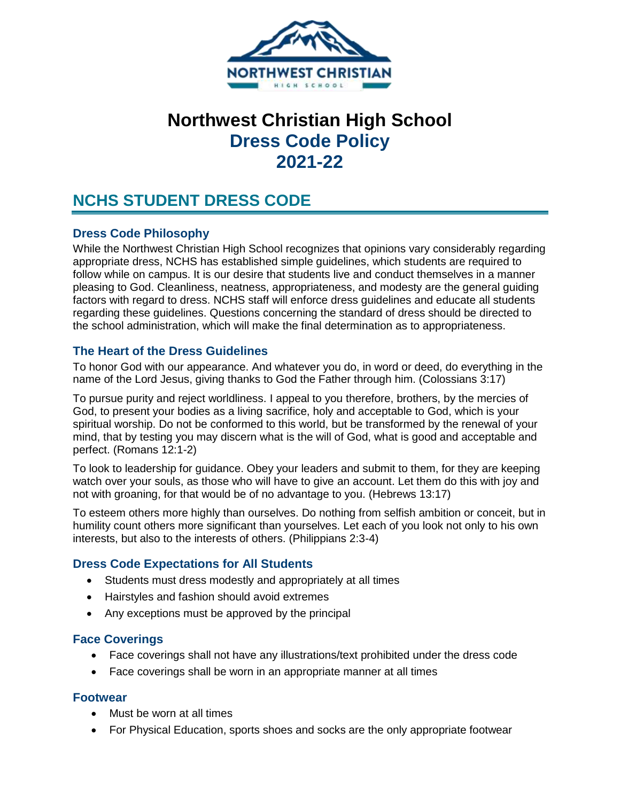

# **Northwest Christian High School Dress Code Policy 2021-22**

## **NCHS STUDENT DRESS CODE**

### **Dress Code Philosophy**

While the Northwest Christian High School recognizes that opinions vary considerably regarding appropriate dress, NCHS has established simple guidelines, which students are required to follow while on campus. It is our desire that students live and conduct themselves in a manner pleasing to God. Cleanliness, neatness, appropriateness, and modesty are the general guiding factors with regard to dress. NCHS staff will enforce dress guidelines and educate all students regarding these guidelines. Questions concerning the standard of dress should be directed to the school administration, which will make the final determination as to appropriateness.

#### **The Heart of the Dress Guidelines**

To honor God with our appearance. And whatever you do, in word or deed, do everything in the name of the Lord Jesus, giving thanks to God the Father through him. (Colossians 3:17)

To pursue purity and reject worldliness. I appeal to you therefore, brothers, by the mercies of God, to present your bodies as a living sacrifice, holy and acceptable to God, which is your spiritual worship. Do not be conformed to this world, but be transformed by the renewal of your mind, that by testing you may discern what is the will of God, what is good and acceptable and perfect. (Romans 12:1-2)

To look to leadership for guidance. Obey your leaders and submit to them, for they are keeping watch over your souls, as those who will have to give an account. Let them do this with joy and not with groaning, for that would be of no advantage to you. (Hebrews 13:17)

To esteem others more highly than ourselves. Do nothing from selfish ambition or conceit, but in humility count others more significant than yourselves. Let each of you look not only to his own interests, but also to the interests of others. (Philippians 2:3-4)

## **Dress Code Expectations for All Students**

- Students must dress modestly and appropriately at all times
- Hairstyles and fashion should avoid extremes
- Any exceptions must be approved by the principal

#### **Face Coverings**

- Face coverings shall not have any illustrations/text prohibited under the dress code
- Face coverings shall be worn in an appropriate manner at all times

#### **Footwear**

- Must be worn at all times
- For Physical Education, sports shoes and socks are the only appropriate footwear